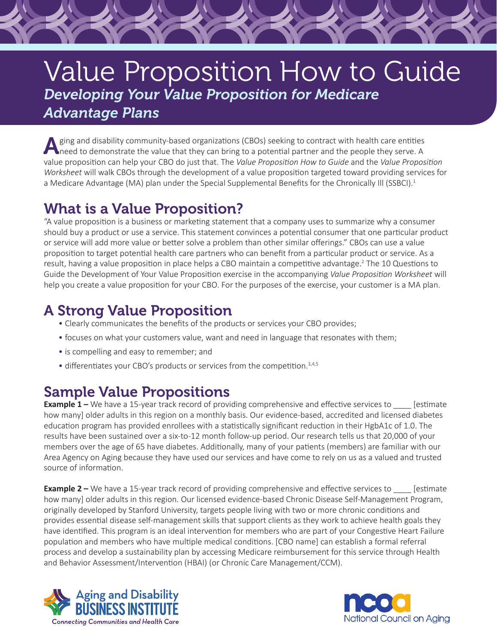# Value Proposition How to Guide *Developing Your Value Proposition for Medicare Advantage Plans*

Aging and disability community-based organizations (CBOs) seeking to contract with health care entities health care entities are entities and the people they serve. A value proposition can help your CBO do just that. The *Value Proposition How to Guide* and the *Value Proposition Worksheet* will walk CBOs through the development of a value proposition targeted toward providing services for a Medicare Advantage (MA) plan under the Special Supplemental Benefits for the Chronically Ill (SSBCI).<sup>1</sup>

# What is a Value Proposition?

"A value proposition is a business or marketing statement that a company uses to summarize why a consumer should buy a product or use a service. This statement convinces a potential consumer that one particular product or service will add more value or better solve a problem than other similar offerings." CBOs can use a value proposition to target potential health care partners who can benefit from a particular product or service. As a result, having a value proposition in place helps a CBO maintain a competitive advantage.<sup>2</sup> The 10 Questions to Guide the Development of Your Value Proposition exercise in the accompanying *Value Proposition Worksheet* will help you create a value proposition for your CBO. For the purposes of the exercise, your customer is a MA plan.

# A Strong Value Proposition

- Clearly communicates the benefits of the products or services your CBO provides;
- focuses on what your customers value, want and need in language that resonates with them;
- is compelling and easy to remember; and
- differentiates your CBO's products or services from the competition.<sup>3,4,5</sup>

## Sample Value Propositions

**Example 1 –** We have a 15-year track record of providing comprehensive and effective services to \_\_\_\_\_ [estimate how many] older adults in this region on a monthly basis. Our evidence-based, accredited and licensed diabetes education program has provided enrollees with a statistically significant reduction in their HgbA1c of 1.0. The results have been sustained over a six-to-12 month follow-up period. Our research tells us that 20,000 of your members over the age of 65 have diabetes. Additionally, many of your patients (members) are familiar with our Area Agency on Aging because they have used our services and have come to rely on us as a valued and trusted source of information.

**Example 2 –** We have a 15-year track record of providing comprehensive and effective services to **Example 2** – We have a 15-year track record of providing comprehensive and effective services to how many] older adults in this region. Our licensed evidence-based Chronic Disease Self-Management Program, originally developed by Stanford University, targets people living with two or more chronic conditions and provides essential disease self-management skills that support clients as they work to achieve health goals they have identified. This program is an ideal intervention for members who are part of your Congestive Heart Failure population and members who have multiple medical conditions. [CBO name] can establish a formal referral process and develop a sustainability plan by accessing Medicare reimbursement for this service through Health and Behavior Assessment/Intervention (HBAI) (or Chronic Care Management/CCM).



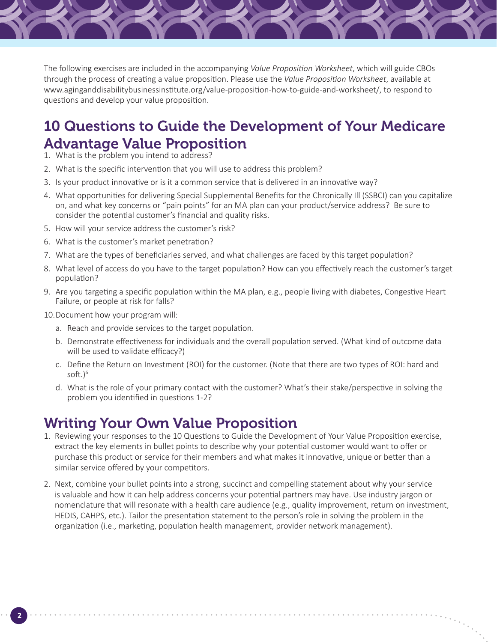The following exercises are included in the accompanying *Value Proposition Worksheet*, which will guide CBOs through the process of creating a value proposition. Please use the *Value Proposition Worksheet*, available at [www.aginganddisabilitybusinessinstitute.org/value-proposition-how-to-guide-and-worksheet/,](http://www.aginganddisabilitybusinessinstitute.org/value-proposition-how-to-guide-and-worksheet/) to respond to questions and develop your value proposition.

## 10 Questions to Guide the Development of Your Medicare Advantage Value Proposition

- 1. What is the problem you intend to address?
- 2. What is the specific intervention that you will use to address this problem?
- 3. Is your product innovative or is it a common service that is delivered in an innovative way?
- 4. What opportunities for delivering Special Supplemental Benefits for the Chronically Ill (SSBCI) can you capitalize on, and what key concerns or "pain points" for an MA plan can your product/service address? Be sure to consider the potential customer's financial and quality risks.
- 5. How will your service address the customer's risk?
- 6. What is the customer's market penetration?
- 7. What are the types of beneficiaries served, and what challenges are faced by this target population?
- 8. What level of access do you have to the target population? How can you effectively reach the customer's target population?
- 9. Are you targeting a specific population within the MA plan, e.g., people living with diabetes, Congestive Heart Failure, or people at risk for falls?
- 10.Document how your program will:
	- a. Reach and provide services to the target population.
	- b. Demonstrate effectiveness for individuals and the overall population served. (What kind of outcome data will be used to validate efficacy?)
	- c. Define the Return on Investment (ROI) for the customer. (Note that there are two types of ROI: hard and soft. $)^6$
	- d. What is the role of your primary contact with the customer? What's their stake/perspective in solving the problem you identified in questions 1-2?

#### Writing Your Own Value Proposition

- 1. Reviewing your responses to the 10 Questions to Guide the Development of Your Value Proposition exercise, extract the key elements in bullet points to describe why your potential customer would want to offer or purchase this product or service for their members and what makes it innovative, unique or better than a similar service offered by your competitors.
- 2. Next, combine your bullet points into a strong, succinct and compelling statement about why your service is valuable and how it can help address concerns your potential partners may have. Use industry jargon or nomenclature that will resonate with a health care audience (e.g., quality improvement, return on investment, HEDIS, CAHPS, etc.). Tailor the presentation statement to the person's role in solving the problem in the organization (i.e., marketing, population health management, provider network management).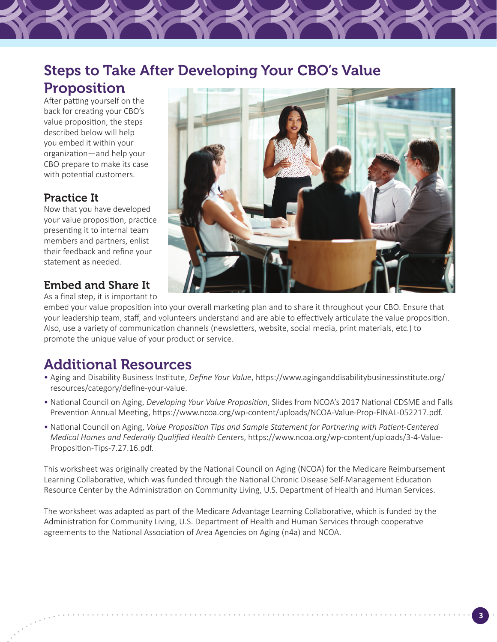## Steps to Take After Developing Your CBO's Value Proposition

After patting yourself on the back for creating your CBO's value proposition, the steps described below will help you embed it within your organization—and help your CBO prepare to make its case with potential customers.

#### Practice It

Now that you have developed your value proposition, practice presenting it to internal team members and partners, enlist their feedback and refine your statement as needed.

#### Embed and Share It

As a final step, it is important to



embed your value proposition into your overall marketing plan and to share it throughout your CBO. Ensure that your leadership team, staff, and volunteers understand and are able to effectively articulate the value proposition. Also, use a variety of communication channels (newsletters, website, social media, print materials, etc.) to promote the unique value of your product or service.

# Additional Resources

- Aging and Disability Business Institute, *Define Your Value*, [https://www.aginganddisabilitybusinessinstitute.org/](https://www.aginganddisabilitybusinessinstitute.org/resources/category/define-your-value) [resources/category/define-your-value](https://www.aginganddisabilitybusinessinstitute.org/resources/category/define-your-value).
- National Council on Aging, *Developing Your Value Proposition*, Slides from NCOA's 2017 National CDSME and Falls Prevention Annual Meeting, https://www.ncoa.org/wp-content/uploads/NCOA-Value-Prop-FINAL-052217.pdf.
- National Council on Aging, *Value Proposition Tips and Sample Statement for Partnering with Patient-Centered Medical Homes and Federally Qualified Health Center*s, [https://www.ncoa.org/wp-content/uploads/3-4-Value-](https://www.ncoa.org/wp-content/uploads/3-4-Value-Proposition-Tips-7.27.16.pdf)[Proposition-Tips-7.27.16.pdf.](https://www.ncoa.org/wp-content/uploads/3-4-Value-Proposition-Tips-7.27.16.pdf)

This worksheet was originally created by the National Council on Aging (NCOA) for the Medicare Reimbursement Learning Collaborative, which was funded through the National Chronic Disease Self-Management Education Resource Center by the Administration on Community Living, U.S. Department of Health and Human Services.

The worksheet was adapted as part of the Medicare Advantage Learning Collaborative, which is funded by the Administration for Community Living, U.S. Department of Health and Human Services through cooperative agreements to the National Association of Area Agencies on Aging (n4a) and NCOA.